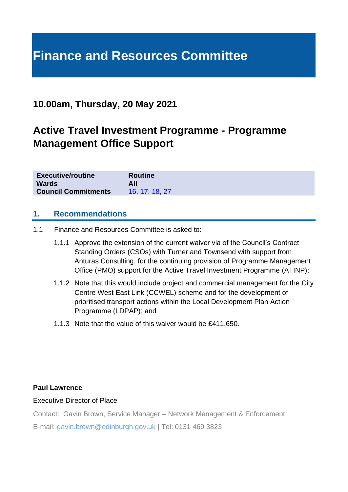# **Finance and Resources Committee**

# **10.00am, Thursday, 20 May 2021**

# **Active Travel Investment Programme - Programme Management Office Support**

| <b>Executive/routine</b>   | <b>Routine</b> |
|----------------------------|----------------|
| <b>Wards</b>               | All            |
| <b>Council Commitments</b> | 16, 17, 18, 27 |

#### **1. Recommendations**

- 1.1 Finance and Resources Committee is asked to:
	- 1.1.1 Approve the extension of the current waiver via of the Council's Contract Standing Orders (CSOs) with Turner and Townsend with support from Anturas Consulting, for the continuing provision of Programme Management Office (PMO) support for the Active Travel Investment Programme (ATINP);
	- 1.1.2 Note that this would include project and commercial management for the City Centre West East Link (CCWEL) scheme and for the development of prioritised transport actions within the Local Development Plan Action Programme (LDPAP); and
	- 1.1.3 Note that the value of this waiver would be £411,650.

#### **Paul Lawrence**

#### Executive Director of Place

Contact: Gavin Brown, Service Manager – Network Management & Enforcement

E-mail: gavin.brown@edinburgh.gov.uk | Tel: 0131 469 3823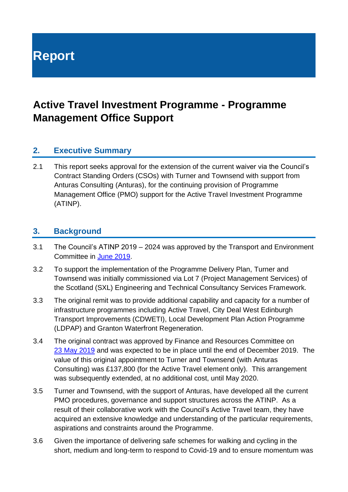# **Report**

# **Active Travel Investment Programme - Programme Management Office Support**

## **2. Executive Summary**

2.1 This report seeks approval for the extension of the current waiver via the Council's Contract Standing Orders (CSOs) with Turner and Townsend with support from Anturas Consulting (Anturas), for the continuing provision of Programme Management Office (PMO) support for the Active Travel Investment Programme (ATINP).

#### **3. Background**

- 3.1 The Council's ATINP 2019 2024 was approved by the Transport and Environment Committee in [June 2019.](https://democracy.edinburgh.gov.uk/Data/Transport%20and%20Environment%20Committee/20190620/Agenda/item_75_-_investing_in_active_travel_and_in_people-friendly_streets.pdf)
- 3.2 To support the implementation of the Programme Delivery Plan, Turner and Townsend was initially commissioned via Lot 7 (Project Management Services) of the Scotland (SXL) Engineering and Technical Consultancy Services Framework.
- 3.3 The original remit was to provide additional capability and capacity for a number of infrastructure programmes including Active Travel, City Deal West Edinburgh Transport Improvements (CDWETI), Local Development Plan Action Programme (LDPAP) and Granton Waterfront Regeneration.
- 3.4 The original contract was approved by Finance and Resources Committee on 23 [May 2019](https://democracy.edinburgh.gov.uk/CeListDocuments.aspx?CommitteeId=140&MeetingId=2313&DF=23%2f05%2f2019&Ver=2) and was expected to be in place until the end of December 2019. The value of this original appointment to Turner and Townsend (with Anturas Consulting) was £137,800 (for the Active Travel element only). This arrangement was subsequently extended, at no additional cost, until May 2020.
- 3.5 Turner and Townsend, with the support of Anturas, have developed all the current PMO procedures, governance and support structures across the ATINP. As a result of their collaborative work with the Council's Active Travel team, they have acquired an extensive knowledge and understanding of the particular requirements, aspirations and constraints around the Programme.
- 3.6 Given the importance of delivering safe schemes for walking and cycling in the short, medium and long-term to respond to Covid-19 and to ensure momentum was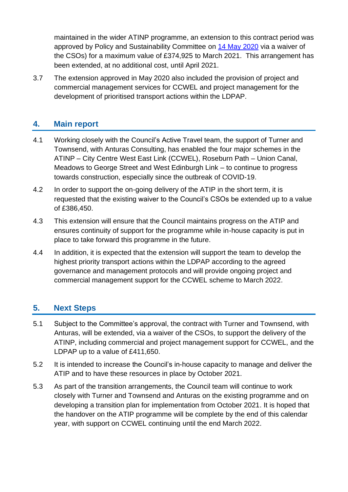maintained in the wider ATINP programme, an extension to this contract period was approved by Policy and Sustainability Committee on 14 [May 2020](https://democracy.edinburgh.gov.uk/ieListDocuments.aspx?CId=135&MId=5511&Ver=4) via a waiver of the CSOs) for a maximum value of £374,925 to March 2021. This arrangement has been extended, at no additional cost, until April 2021.

3.7 The extension approved in May 2020 also included the provision of project and commercial management services for CCWEL and project management for the development of prioritised transport actions within the LDPAP.

# **4. Main report**

- 4.1 Working closely with the Council's Active Travel team, the support of Turner and Townsend, with Anturas Consulting, has enabled the four major schemes in the ATINP – City Centre West East Link (CCWEL), Roseburn Path – Union Canal, Meadows to George Street and West Edinburgh Link – to continue to progress towards construction, especially since the outbreak of COVID-19.
- 4.2 In order to support the on-going delivery of the ATIP in the short term, it is requested that the existing waiver to the Council's CSOs be extended up to a value of £386,450.
- 4.3 This extension will ensure that the Council maintains progress on the ATIP and ensures continuity of support for the programme while in-house capacity is put in place to take forward this programme in the future.
- 4.4 In addition, it is expected that the extension will support the team to develop the highest priority transport actions within the LDPAP according to the agreed governance and management protocols and will provide ongoing project and commercial management support for the CCWEL scheme to March 2022.

# **5. Next Steps**

- 5.1 Subject to the Committee's approval, the contract with Turner and Townsend, with Anturas, will be extended, via a waiver of the CSOs, to support the delivery of the ATINP, including commercial and project management support for CCWEL, and the LDPAP up to a value of £411,650.
- 5.2 It is intended to increase the Council's in-house capacity to manage and deliver the ATIP and to have these resources in place by October 2021.
- 5.3 As part of the transition arrangements, the Council team will continue to work closely with Turner and Townsend and Anturas on the existing programme and on developing a transition plan for implementation from October 2021. It is hoped that the handover on the ATIP programme will be complete by the end of this calendar year, with support on CCWEL continuing until the end March 2022.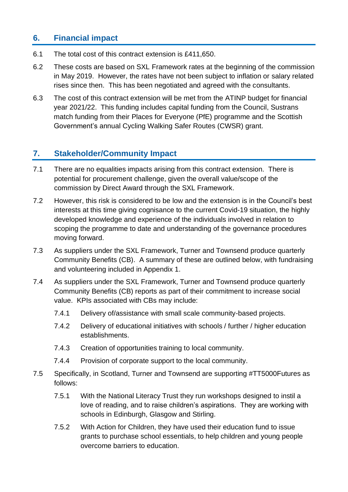## **6. Financial impact**

- 6.1 The total cost of this contract extension is £411,650.
- 6.2 These costs are based on SXL Framework rates at the beginning of the commission in May 2019. However, the rates have not been subject to inflation or salary related rises since then. This has been negotiated and agreed with the consultants.
- 6.3 The cost of this contract extension will be met from the ATINP budget for financial year 2021/22. This funding includes capital funding from the Council, Sustrans match funding from their Places for Everyone (PfE) programme and the Scottish Government's annual Cycling Walking Safer Routes (CWSR) grant.

### **7. Stakeholder/Community Impact**

- 7.1 There are no equalities impacts arising from this contract extension. There is potential for procurement challenge, given the overall value/scope of the commission by Direct Award through the SXL Framework.
- 7.2 However, this risk is considered to be low and the extension is in the Council's best interests at this time giving cognisance to the current Covid-19 situation, the highly developed knowledge and experience of the individuals involved in relation to scoping the programme to date and understanding of the governance procedures moving forward.
- 7.3 As suppliers under the SXL Framework, Turner and Townsend produce quarterly Community Benefits (CB). A summary of these are outlined below, with fundraising and volunteering included in Appendix 1.
- 7.4 As suppliers under the SXL Framework, Turner and Townsend produce quarterly Community Benefits (CB) reports as part of their commitment to increase social value. KPIs associated with CBs may include:
	- 7.4.1 Delivery of/assistance with small scale community-based projects.
	- 7.4.2 Delivery of educational initiatives with schools / further / higher education establishments.
	- 7.4.3 Creation of opportunities training to local community.
	- 7.4.4 Provision of corporate support to the local community.
- 7.5 Specifically, in Scotland, Turner and Townsend are supporting #TT5000Futures as follows:
	- 7.5.1 With the National Literacy Trust they run workshops designed to instil a love of reading, and to raise children's aspirations. They are working with schools in Edinburgh, Glasgow and Stirling.
	- 7.5.2 With Action for Children, they have used their education fund to issue grants to purchase school essentials, to help children and young people overcome barriers to education.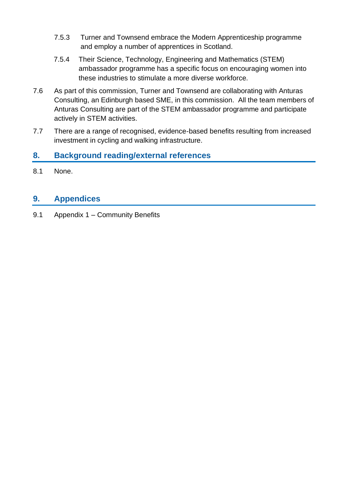- 7.5.3 Turner and Townsend embrace the Modern Apprenticeship programme and employ a number of apprentices in Scotland.
- 7.5.4 Their Science, Technology, Engineering and Mathematics (STEM) ambassador programme has a specific focus on encouraging women into these industries to stimulate a more diverse workforce.
- 7.6 As part of this commission, Turner and Townsend are collaborating with Anturas Consulting, an Edinburgh based SME, in this commission. All the team members of Anturas Consulting are part of the STEM ambassador programme and participate actively in STEM activities.
- 7.7 There are a range of recognised, evidence-based benefits resulting from increased investment in cycling and walking infrastructure.

# **8. Background reading/external references**

8.1 None.

# **9. Appendices**

9.1 Appendix 1 – Community Benefits